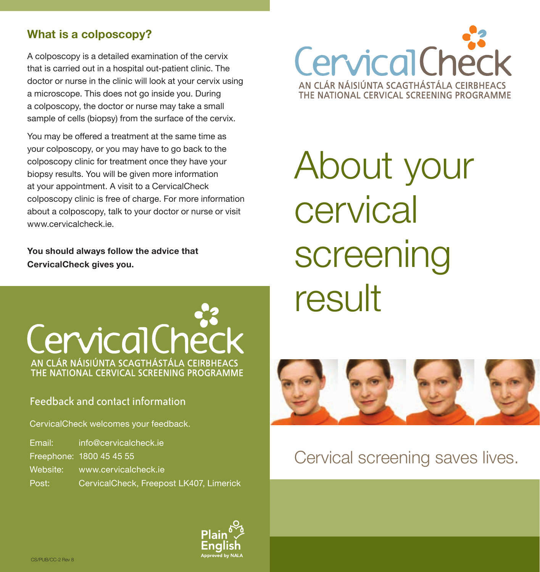## **What is a colposcopy?**

A colposcopy is a detailed examination of the cervix that is carried out in a hospital out-patient clinic. The doctor or nurse in the clinic will look at your cervix using a microscope. This does not go inside you. During a colposcopy, the doctor or nurse may take a small sample of cells (biopsy) from the surface of the cervix.

You may be offered a treatment at the same time as your colposcopy, or you may have to go back to the colposcopy clinic for treatment once they have your biopsy results. You will be given more information at your appointment. A visit to a CervicalCheck colposcopy clinic is free of charge. For more information about a colposcopy, talk to your doctor or nurse or visit www.cervicalcheck.je

**You should always follow the advice that CervicalCheck gives you.**

# CervicalCheck AN CLÁR NÁISIÚNTA SCAGTHÁSTÁLA CEIRBHEACS THE NATIONAL CERVICAL SCREENING PROGRAMME

### Feedback and contact information

CervicalCheck welcomes your feedback.

| Email:   | info@cervicalcheck.je                   |
|----------|-----------------------------------------|
|          | Freephone: 1800 45 45 55                |
| Website: | www.cervicalcheck.je                    |
| Post:    | CervicalCheck, Freepost LK407, Limerick |



About your cervical screening result 50 J <del>60 J</del> 111 J 10



## Cervical screening saves lives.